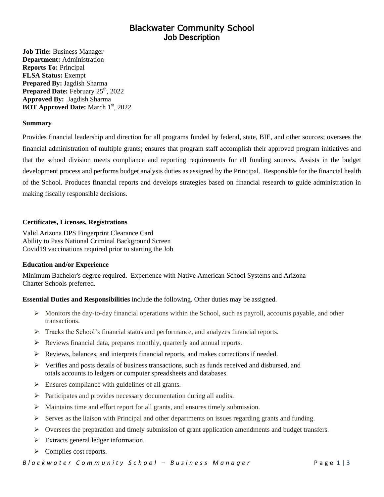# Blackwater Community School Job Description

**Job Title:** Business Manager **Department:** Administration **Reports To:** Principal **FLSA Status:** Exempt **Prepared By:** Jagdish Sharma Prepared Date: February 25<sup>th</sup>, 2022 **Approved By:** Jagdish Sharma **BOT Approved Date:** March 1st, 2022

### **Summary**

Provides financial leadership and direction for all programs funded by federal, state, BIE, and other sources; oversees the financial administration of multiple grants; ensures that program staff accomplish their approved program initiatives and that the school division meets compliance and reporting requirements for all funding sources. Assists in the budget development process and performs budget analysis duties as assigned by the Principal. Responsible for the financial health of the School. Produces financial reports and develops strategies based on financial research to guide administration in making fiscally responsible decisions.

## **Certificates, Licenses, Registrations**

Valid Arizona DPS Fingerprint Clearance Card Ability to Pass National Criminal Background Screen Covid19 vaccinations required prior to starting the Job

### **Education and/or Experience**

Minimum Bachelor's degree required. Experience with Native American School Systems and Arizona Charter Schools preferred.

# **Essential Duties and Responsibilities** include the following. Other duties may be assigned.

- $\triangleright$  Monitors the day-to-day financial operations within the School, such as payroll, accounts payable, and other transactions.
- $\triangleright$  Tracks the School's financial status and performance, and analyzes financial reports.
- ➢ Reviews financial data, prepares monthly, quarterly and annual reports.
- $\triangleright$  Reviews, balances, and interprets financial reports, and makes corrections if needed.
- $\triangleright$  Verifies and posts details of business transactions, such as funds received and disbursed, and totals accounts to ledgers or computer spreadsheets and databases.
- $\triangleright$  Ensures compliance with guidelines of all grants.
- ➢ Participates and provides necessary documentation during all audits.
- ➢ Maintains time and effort report for all grants, and ensures timely submission.
- $\triangleright$  Serves as the liaison with Principal and other departments on issues regarding grants and funding.
- $\triangleright$  Oversees the preparation and timely submission of grant application amendments and budget transfers.
- $\triangleright$  Extracts general ledger information.
- ➢ Compiles cost reports.

*B l a c k w a t e r* C *o m m u n it y* S c h o o l – B u s in e s s M a n a g e r <br>P a g e 1 | 3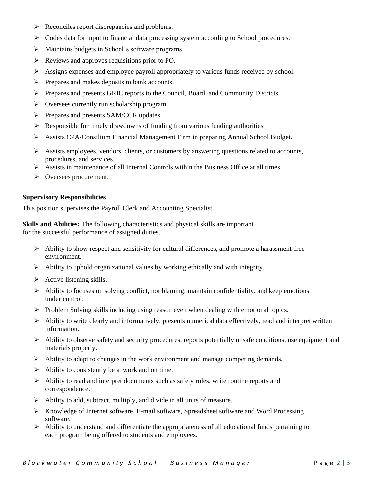- ➢ Reconciles report discrepancies and problems.
- ➢ Codes data for input to financial data processing system according to School procedures.
- ➢ Maintains budgets in School's software programs.
- ➢ Reviews and approves requisitions prior to PO.
- $\triangleright$  Assigns expenses and employee payroll appropriately to various funds received by school.
- ➢ Prepares and makes deposits to bank accounts.
- ➢ Prepares and presents GRIC reports to the Council, Board, and Community Districts.
- ➢ Oversees currently run scholarship program.
- ➢ Prepares and presents SAM/CCR updates.
- $\triangleright$  Responsible for timely drawdowns of funding from various funding authorities.
- ➢ Assists CPA/Consilium Financial Management Firm in preparing Annual School Budget.
- $\triangleright$  Assists employees, vendors, clients, or customers by answering questions related to accounts, procedures, and services.
- $\triangleright$  Assists in maintenance of all Internal Controls within the Business Office at all times.
- ➢ Oversees procurement.

### **Supervisory Responsibilities**

This position supervises the Payroll Clerk and Accounting Specialist.

**Skills and Abilities:** The following characteristics and physical skills are important for the successful performance of assigned duties.

- ➢ Ability to show respect and sensitivity for cultural differences, and promote a harassment-free environment.
- ➢ Ability to uphold organizational values by working ethically and with integrity.
- $\triangleright$  Active listening skills.
- $\triangleright$  Ability to focuses on solving conflict, not blaming; maintain confidentiality, and keep emotions under control.
- $\triangleright$  Problem Solving skills including using reason even when dealing with emotional topics.
- ➢ Ability to write clearly and informatively, presents numerical data effectively, read and interpret written information.
- $\triangleright$  Ability to observe safety and security procedures, reports potentially unsafe conditions, use equipment and materials properly.
- ➢ Ability to adapt to changes in the work environment and manage competing demands.
- $\triangleright$  Ability to consistently be at work and on time.
- $\triangleright$  Ability to read and interpret documents such as safety rules, write routine reports and correspondence.
- ➢ Ability to add, subtract, multiply, and divide in all units of measure.
- ➢ Knowledge of Internet software, E-mail software, Spreadsheet software and Word Processing software.
- $\triangleright$  Ability to understand and differentiate the appropriateness of all educational funds pertaining to each program being offered to students and employees.